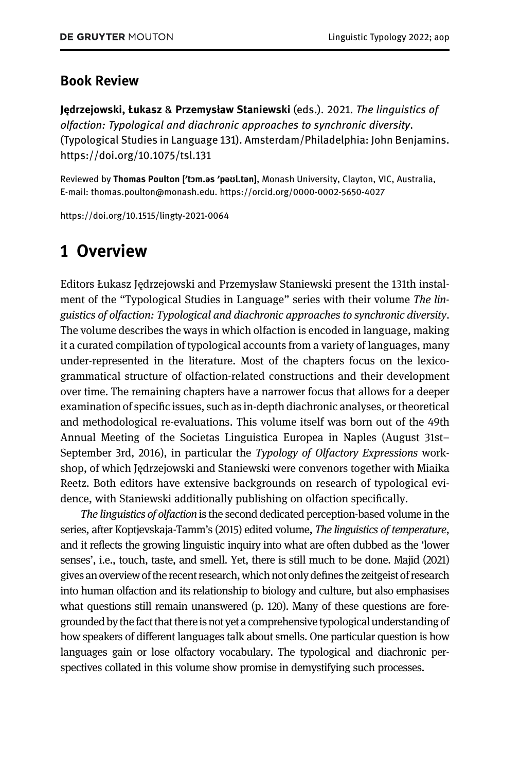#### Book Review

Jędrzejowski, Łukasz & Przemysław Staniewski (eds.). 2021. The linguistics of olfaction: Typological and diachronic approaches to synchronic diversity. (Typological Studies in Language 131). Amsterdam/Philadelphia: John Benjamins. <https://doi.org/10.1075/tsl.131>

Reviewed by Thomas Poulton [′tɔm.əs ′pəʊl.tən], Monash University, Clayton, VIC, Australia, E-mail: [thomas.poulton@monash.edu](mailto:thomas.poulton@monash.edu).<https://orcid.org/0000-0002-5650-4027>

<https://doi.org/10.1515/lingty-2021-0064>

# 1 Overview

Editors Łukasz Jędrzejowski and Przemysław Staniewski present the 131th instalment of the "Typological Studies in Language" series with their volume The linguistics of olfaction: Typological and diachronic approaches to synchronic diversity. The volume describes the ways in which olfaction is encoded in language, making it a curated compilation of typological accounts from a variety of languages, many under-represented in the literature. Most of the chapters focus on the lexicogrammatical structure of olfaction-related constructions and their development over time. The remaining chapters have a narrower focus that allows for a deeper examination of specific issues, such as in-depth diachronic analyses, or theoretical and methodological re-evaluations. This volume itself was born out of the 49th Annual Meeting of the Societas Linguistica Europea in Naples (August 31st– September 3rd, 2016), in particular the Typology of Olfactory Expressions workshop, of which Jędrzejowski and Staniewski were convenors together with Miaika Reetz. Both editors have extensive backgrounds on research of typological evidence, with Staniewski additionally publishing on olfaction specifically.

The linguistics of olfaction is the second dedicated perception-based volume in the series, after [Koptjevskaja-Tamm](#page-10-0)'s (2015) edited volume, The linguistics of temperature, and it reflects the growing linguistic inquiry into what are often dubbed as the 'lower senses', i.e., touch, taste, and smell. Yet, there is still much to be done. [Majid \(2021\)](#page-10-1) gives an overview of the recent research, which not only defines the zeitgeist of research into human olfaction and its relationship to biology and culture, but also emphasises what questions still remain unanswered (p. 120). Many of these questions are foregrounded by the fact that thereis not yet a comprehensive typological understanding of how speakers of different languages talk about smells. One particular question is how languages gain or lose olfactory vocabulary. The typological and diachronic perspectives collated in this volume show promise in demystifying such processes.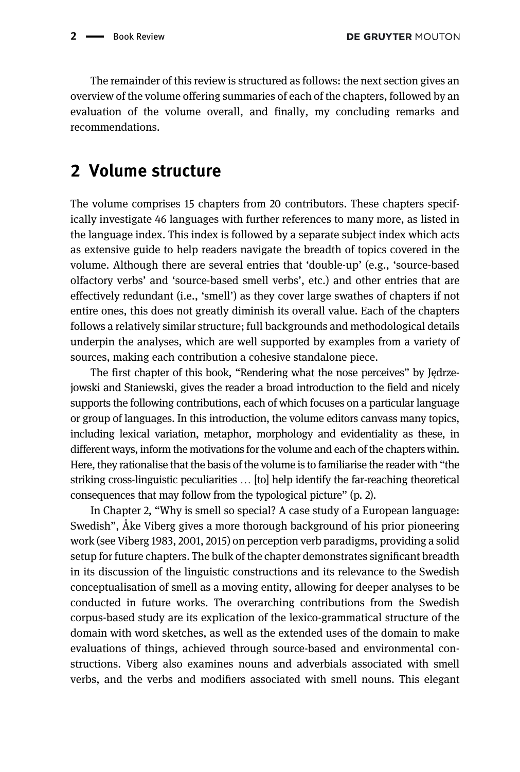The remainder of this review is structured as follows: the next section gives an overview of the volume offering summaries of each of the chapters, followed by an evaluation of the volume overall, and finally, my concluding remarks and recommendations.

## 2 Volume structure

The volume comprises 15 chapters from 20 contributors. These chapters specifically investigate 46 languages with further references to many more, as listed in the language index. This index is followed by a separate subject index which acts as extensive guide to help readers navigate the breadth of topics covered in the volume. Although there are several entries that 'double-up' (e.g., 'source-based olfactory verbs' and 'source-based smell verbs', etc.) and other entries that are effectively redundant (i.e., 'smell') as they cover large swathes of chapters if not entire ones, this does not greatly diminish its overall value. Each of the chapters follows a relatively similar structure; full backgrounds and methodological details underpin the analyses, which are well supported by examples from a variety of sources, making each contribution a cohesive standalone piece.

The first chapter of this book, "Rendering what the nose perceives" by Jędrzejowski and Staniewski, gives the reader a broad introduction to the field and nicely supports the following contributions, each of which focuses on a particular language or group of languages. In this introduction, the volume editors canvass many topics, including lexical variation, metaphor, morphology and evidentiality as these, in different ways, inform the motivations forthe volume and each of the chapters within. Here, they rationalise that the basis of the volume is to familiarise the reader with "the striking cross-linguistic peculiarities … [to] help identify the far-reaching theoretical consequences that may follow from the typological picture" (p. 2).

In Chapter 2, "Why is smell so special? A case study of a European language: Swedish", Åke Viberg gives a more thorough background of his prior pioneering work (see [Viberg 1983](#page-11-0), [2001,](#page-11-1) [2015\)](#page-11-2) on perception verb paradigms, providing a solid setup for future chapters. The bulk of the chapter demonstrates significant breadth in its discussion of the linguistic constructions and its relevance to the Swedish conceptualisation of smell as a moving entity, allowing for deeper analyses to be conducted in future works. The overarching contributions from the Swedish corpus-based study are its explication of the lexico-grammatical structure of the domain with word sketches, as well as the extended uses of the domain to make evaluations of things, achieved through source-based and environmental constructions. Viberg also examines nouns and adverbials associated with smell verbs, and the verbs and modifiers associated with smell nouns. This elegant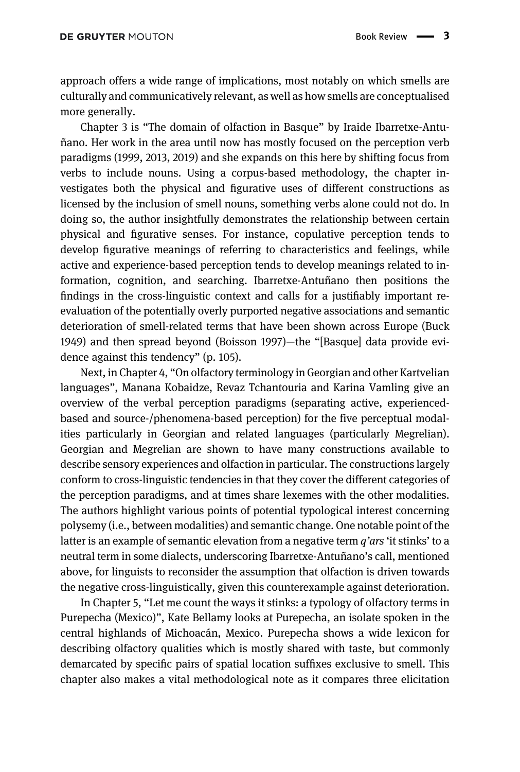approach offers a wide range of implications, most notably on which smells are culturally and communicatively relevant, as well as how smells are conceptualised more generally.

Chapter 3 is "The domain of olfaction in Basque" by Iraide Ibarretxe-Antuñano. Her work in the area until now has mostly focused on the perception verb paradigms [\(1999](#page-10-2), [2013](#page-10-3), [2019](#page-10-4)) and she expands on this here by shifting focus from verbs to include nouns. Using a corpus-based methodology, the chapter investigates both the physical and figurative uses of different constructions as licensed by the inclusion of smell nouns, something verbs alone could not do. In doing so, the author insightfully demonstrates the relationship between certain physical and figurative senses. For instance, copulative perception tends to develop figurative meanings of referring to characteristics and feelings, while active and experience-based perception tends to develop meanings related to information, cognition, and searching. Ibarretxe-Antuñano then positions the findings in the cross-linguistic context and calls for a justifiably important reevaluation of the potentially overly purported negative associations and semantic deterioration of smell-related terms that have been shown across Europe [\(Buck](#page-10-5) [1949\)](#page-10-5) and then spread beyond [\(Boisson 1997\)](#page-10-6)—the "[Basque] data provide evidence against this tendency" (p. 105).

Next, in Chapter 4, "On olfactory terminology in Georgian and other Kartvelian languages", Manana Kobaidze, Revaz Tchantouria and Karina Vamling give an overview of the verbal perception paradigms (separating active, experiencedbased and source-/phenomena-based perception) for the five perceptual modalities particularly in Georgian and related languages (particularly Megrelian). Georgian and Megrelian are shown to have many constructions available to describe sensory experiences and olfaction in particular. The constructions largely conform to cross-linguistic tendencies in that they cover the different categories of the perception paradigms, and at times share lexemes with the other modalities. The authors highlight various points of potential typological interest concerning polysemy (i.e., between modalities) and semantic change. One notable point of the latter is an example of semantic elevation from a negative term  $q'ars'$  it stinks' to a neutral term in some dialects, underscoring Ibarretxe-Antuñano's call, mentioned above, for linguists to reconsider the assumption that olfaction is driven towards the negative cross-linguistically, given this counterexample against deterioration.

In Chapter 5, "Let me count the ways it stinks: a typology of olfactory terms in Purepecha (Mexico)", Kate Bellamy looks at Purepecha, an isolate spoken in the central highlands of Michoacán, Mexico. Purepecha shows a wide lexicon for describing olfactory qualities which is mostly shared with taste, but commonly demarcated by specific pairs of spatial location suffixes exclusive to smell. This chapter also makes a vital methodological note as it compares three elicitation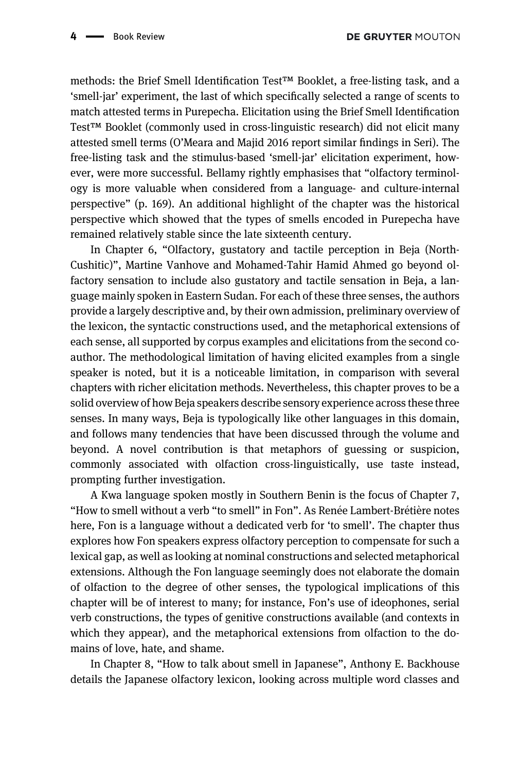methods: the Brief Smell Identification Test™ Booklet, a free-listing task, and a 'smell-jar' experiment, the last of which specifically selected a range of scents to match attested terms in Purepecha. Elicitation using the Brief Smell Identification Test™ Booklet (commonly used in cross-linguistic research) did not elicit many attested smell terms (O'[Meara and Majid 2016](#page-11-3) report similar findings in Seri). The free-listing task and the stimulus-based 'smell-jar' elicitation experiment, however, were more successful. Bellamy rightly emphasises that "olfactory terminology is more valuable when considered from a language- and culture-internal perspective" (p. 169). An additional highlight of the chapter was the historical perspective which showed that the types of smells encoded in Purepecha have remained relatively stable since the late sixteenth century.

In Chapter 6, "Olfactory, gustatory and tactile perception in Beja (North-Cushitic)", Martine Vanhove and Mohamed-Tahir Hamid Ahmed go beyond olfactory sensation to include also gustatory and tactile sensation in Beja, a language mainly spoken in Eastern Sudan. For each of these three senses, the authors provide a largely descriptive and, by their own admission, preliminary overview of the lexicon, the syntactic constructions used, and the metaphorical extensions of each sense, all supported by corpus examples and elicitations from the second coauthor. The methodological limitation of having elicited examples from a single speaker is noted, but it is a noticeable limitation, in comparison with several chapters with richer elicitation methods. Nevertheless, this chapter proves to be a solid overview of how Beja speakers describe sensory experience across these three senses. In many ways, Beja is typologically like other languages in this domain, and follows many tendencies that have been discussed through the volume and beyond. A novel contribution is that metaphors of guessing or suspicion, commonly associated with olfaction cross-linguistically, use taste instead, prompting further investigation.

A Kwa language spoken mostly in Southern Benin is the focus of Chapter 7, "How to smell without a verb "to smell" in Fon". As Renée Lambert-Brétière notes here, Fon is a language without a dedicated verb for 'to smell'. The chapter thus explores how Fon speakers express olfactory perception to compensate for such a lexical gap, as well as looking at nominal constructions and selected metaphorical extensions. Although the Fon language seemingly does not elaborate the domain of olfaction to the degree of other senses, the typological implications of this chapter will be of interest to many; for instance, Fon's use of ideophones, serial verb constructions, the types of genitive constructions available (and contexts in which they appear), and the metaphorical extensions from olfaction to the domains of love, hate, and shame.

In Chapter 8, "How to talk about smell in Japanese", Anthony E. Backhouse details the Japanese olfactory lexicon, looking across multiple word classes and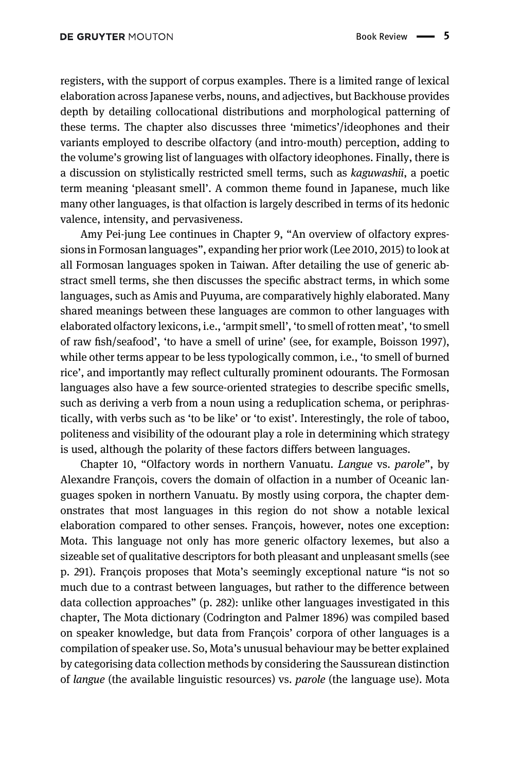registers, with the support of corpus examples. There is a limited range of lexical elaboration across Japanese verbs, nouns, and adjectives, but Backhouse provides depth by detailing collocational distributions and morphological patterning of these terms. The chapter also discusses three 'mimetics'/ideophones and their variants employed to describe olfactory (and intro-mouth) perception, adding to the volume's growing list of languages with olfactory ideophones. Finally, there is a discussion on stylistically restricted smell terms, such as kaguwashii, a poetic term meaning 'pleasant smell'. A common theme found in Japanese, much like many other languages, is that olfaction is largely described in terms of its hedonic valence, intensity, and pervasiveness.

Amy Pei-jung Lee continues in Chapter 9, "An overview of olfactory expressions in Formosan languages", expanding her prior work ([Lee 2010](#page-10-7), [2015\)](#page-10-8) to look at all Formosan languages spoken in Taiwan. After detailing the use of generic abstract smell terms, she then discusses the specific abstract terms, in which some languages, such as Amis and Puyuma, are comparatively highly elaborated. Many shared meanings between these languages are common to other languages with elaborated olfactory lexicons, i.e., 'armpit smell', 'to smell of rotten meat', 'to smell of raw fish/seafood', 'to have a smell of urine' (see, for example, [Boisson 1997](#page-10-6)), while other terms appear to be less typologically common, i.e., 'to smell of burned rice', and importantly may reflect culturally prominent odourants. The Formosan languages also have a few source-oriented strategies to describe specific smells, such as deriving a verb from a noun using a reduplication schema, or periphrastically, with verbs such as 'to be like' or 'to exist'. Interestingly, the role of taboo, politeness and visibility of the odourant play a role in determining which strategy is used, although the polarity of these factors differs between languages.

Chapter 10, "Olfactory words in northern Vanuatu. Langue vs. parole", by Alexandre François, covers the domain of olfaction in a number of Oceanic languages spoken in northern Vanuatu. By mostly using corpora, the chapter demonstrates that most languages in this region do not show a notable lexical elaboration compared to other senses. François, however, notes one exception: Mota. This language not only has more generic olfactory lexemes, but also a sizeable set of qualitative descriptors for both pleasant and unpleasant smells (see p. 291). François proposes that Mota's seemingly exceptional nature "is not so much due to a contrast between languages, but rather to the difference between data collection approaches" (p. 282): unlike other languages investigated in this chapter, The Mota dictionary ([Codrington and Palmer 1896](#page-10-9)) was compiled based on speaker knowledge, but data from François' corpora of other languages is a compilation of speaker use. So, Mota's unusual behaviour may be better explained by categorising data collection methods by considering the Saussurean distinction of langue (the available linguistic resources) vs. parole (the language use). Mota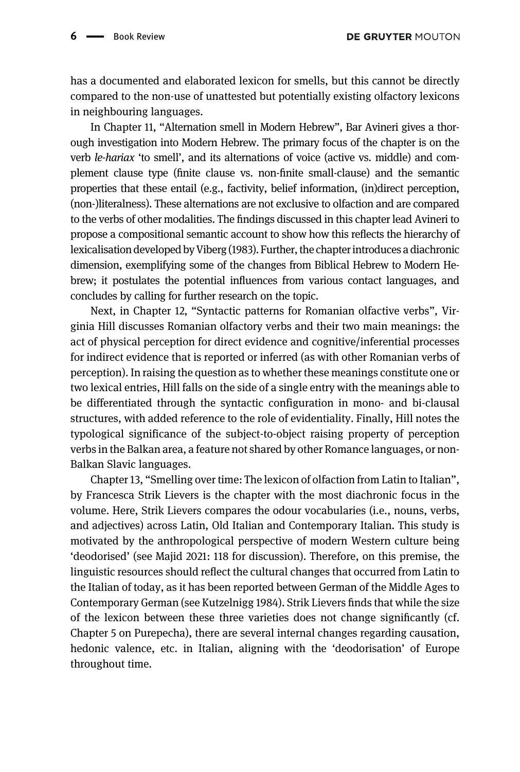has a documented and elaborated lexicon for smells, but this cannot be directly compared to the non-use of unattested but potentially existing olfactory lexicons in neighbouring languages.

In Chapter 11, "Alternation smell in Modern Hebrew", Bar Avineri gives a thorough investigation into Modern Hebrew. The primary focus of the chapter is on the verb le-hariax 'to smell', and its alternations of voice (active vs. middle) and complement clause type (finite clause vs. non-finite small-clause) and the semantic properties that these entail (e.g., factivity, belief information, (in)direct perception, (non-)literalness). These alternations are not exclusive to olfaction and are compared to the verbs of other modalities. The findings discussed in this chapter lead Avineri to propose a compositional semantic account to show how this reflects the hierarchy of lexicalisation developed by [Viberg \(1983\)](#page-11-0). Further, the chapter introduces a diachronic dimension, exemplifying some of the changes from Biblical Hebrew to Modern Hebrew; it postulates the potential influences from various contact languages, and concludes by calling for further research on the topic.

Next, in Chapter 12, "Syntactic patterns for Romanian olfactive verbs", Virginia Hill discusses Romanian olfactory verbs and their two main meanings: the act of physical perception for direct evidence and cognitive/inferential processes for indirect evidence that is reported or inferred (as with other Romanian verbs of perception). In raising the question as to whether these meanings constitute one or two lexical entries, Hill falls on the side of a single entry with the meanings able to be differentiated through the syntactic configuration in mono- and bi-clausal structures, with added reference to the role of evidentiality. Finally, Hill notes the typological significance of the subject-to-object raising property of perception verbs in the Balkan area, a feature not shared by other Romance languages, or non-Balkan Slavic languages.

Chapter 13, "Smelling over time: The lexicon of olfaction from Latin to Italian", by Francesca Strik Lievers is the chapter with the most diachronic focus in the volume. Here, Strik Lievers compares the odour vocabularies (i.e., nouns, verbs, and adjectives) across Latin, Old Italian and Contemporary Italian. This study is motivated by the anthropological perspective of modern Western culture being 'deodorised' (see [Majid 2021:](#page-10-1) 118 for discussion). Therefore, on this premise, the linguistic resources should reflect the cultural changes that occurred from Latin to the Italian of today, as it has been reported between German of the Middle Ages to Contemporary German (see [Kutzelnigg 1984](#page-10-10)). Strik Lievers finds that while the size of the lexicon between these three varieties does not change significantly (cf. Chapter 5 on Purepecha), there are several internal changes regarding causation, hedonic valence, etc. in Italian, aligning with the 'deodorisation' of Europe throughout time.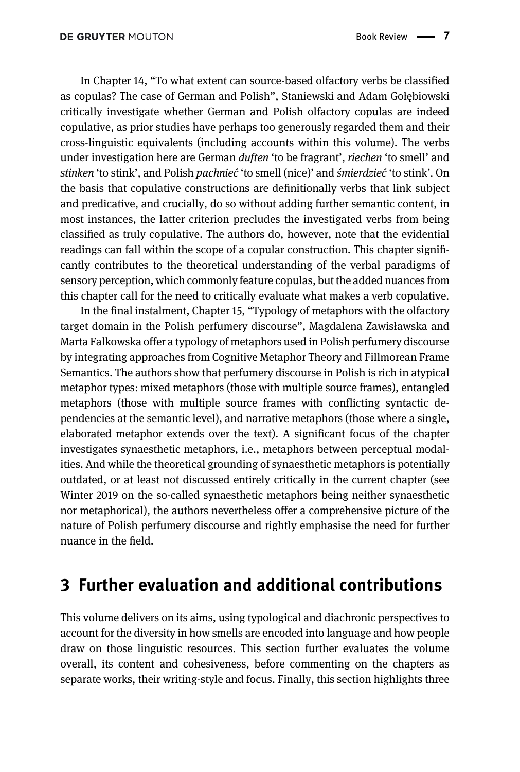In Chapter 14, "To what extent can source-based olfactory verbs be classified as copulas? The case of German and Polish", Staniewski and Adam Gołębiowski critically investigate whether German and Polish olfactory copulas are indeed copulative, as prior studies have perhaps too generously regarded them and their cross-linguistic equivalents (including accounts within this volume). The verbs under investigation here are German *duften* 'to be fragrant', *riechen* 'to smell' and stinken 'to stink', and Polish pachnieć 'to smell (nice)' and śmierdzieć 'to stink'. On the basis that copulative constructions are definitionally verbs that link subject and predicative, and crucially, do so without adding further semantic content, in most instances, the latter criterion precludes the investigated verbs from being classified as truly copulative. The authors do, however, note that the evidential readings can fall within the scope of a copular construction. This chapter significantly contributes to the theoretical understanding of the verbal paradigms of sensory perception, which commonly feature copulas, but the added nuances from this chapter call for the need to critically evaluate what makes a verb copulative.

In the final instalment, Chapter 15, "Typology of metaphors with the olfactory target domain in the Polish perfumery discourse", Magdalena Zawisławska and Marta Falkowska offer a typology of metaphors used in Polish perfumery discourse by integrating approaches from Cognitive Metaphor Theory and Fillmorean Frame Semantics. The authors show that perfumery discourse in Polish is rich in atypical metaphor types: mixed metaphors (those with multiple source frames), entangled metaphors (those with multiple source frames with conflicting syntactic dependencies at the semantic level), and narrative metaphors (those where a single, elaborated metaphor extends over the text). A significant focus of the chapter investigates synaesthetic metaphors, i.e., metaphors between perceptual modalities. And while the theoretical grounding of synaesthetic metaphors is potentially outdated, or at least not discussed entirely critically in the current chapter (see [Winter 2019](#page-11-4) on the so-called synaesthetic metaphors being neither synaesthetic nor metaphorical), the authors nevertheless offer a comprehensive picture of the nature of Polish perfumery discourse and rightly emphasise the need for further nuance in the field.

### 3 Further evaluation and additional contributions

This volume delivers on its aims, using typological and diachronic perspectives to account for the diversity in how smells are encoded into language and how people draw on those linguistic resources. This section further evaluates the volume overall, its content and cohesiveness, before commenting on the chapters as separate works, their writing-style and focus. Finally, this section highlights three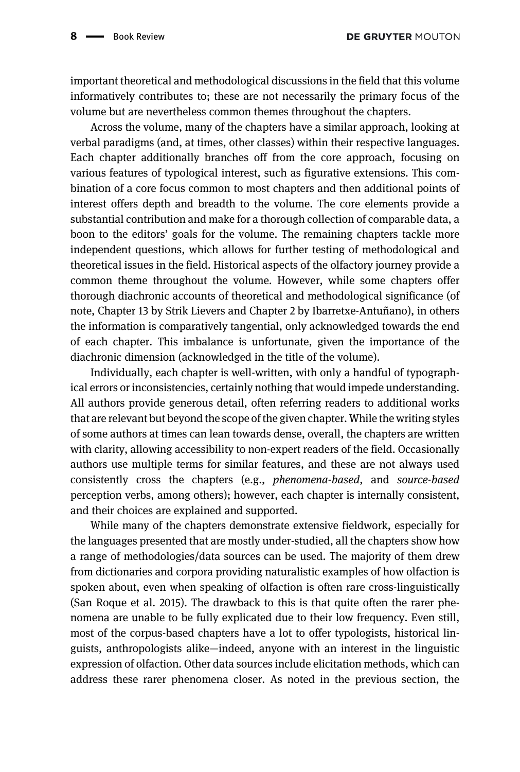important theoretical and methodological discussions in the field that this volume informatively contributes to; these are not necessarily the primary focus of the volume but are nevertheless common themes throughout the chapters.

Across the volume, many of the chapters have a similar approach, looking at verbal paradigms (and, at times, other classes) within their respective languages. Each chapter additionally branches off from the core approach, focusing on various features of typological interest, such as figurative extensions. This combination of a core focus common to most chapters and then additional points of interest offers depth and breadth to the volume. The core elements provide a substantial contribution and make for a thorough collection of comparable data, a boon to the editors' goals for the volume. The remaining chapters tackle more independent questions, which allows for further testing of methodological and theoretical issues in the field. Historical aspects of the olfactory journey provide a common theme throughout the volume. However, while some chapters offer thorough diachronic accounts of theoretical and methodological significance (of note, Chapter 13 by Strik Lievers and Chapter 2 by Ibarretxe-Antuñano), in others the information is comparatively tangential, only acknowledged towards the end of each chapter. This imbalance is unfortunate, given the importance of the diachronic dimension (acknowledged in the title of the volume).

Individually, each chapter is well-written, with only a handful of typographical errors or inconsistencies, certainly nothing that would impede understanding. All authors provide generous detail, often referring readers to additional works that are relevant but beyond the scope of the given chapter. While the writing styles of some authors at times can lean towards dense, overall, the chapters are written with clarity, allowing accessibility to non-expert readers of the field. Occasionally authors use multiple terms for similar features, and these are not always used consistently cross the chapters (e.g., phenomena-based, and source-based perception verbs, among others); however, each chapter is internally consistent, and their choices are explained and supported.

While many of the chapters demonstrate extensive fieldwork, especially for the languages presented that are mostly under-studied, all the chapters show how a range of methodologies/data sources can be used. The majority of them drew from dictionaries and corpora providing naturalistic examples of how olfaction is spoken about, even when speaking of olfaction is often rare cross-linguistically ([San Roque et al. 2015\)](#page-11-5). The drawback to this is that quite often the rarer phenomena are unable to be fully explicated due to their low frequency. Even still, most of the corpus-based chapters have a lot to offer typologists, historical linguists, anthropologists alike—indeed, anyone with an interest in the linguistic expression of olfaction. Other data sources include elicitation methods, which can address these rarer phenomena closer. As noted in the previous section, the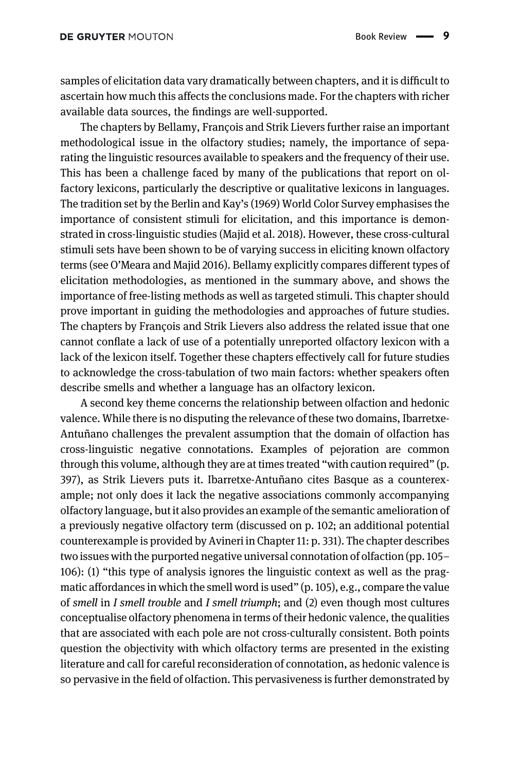samples of elicitation data vary dramatically between chapters, and it is difficult to ascertain how much this affects the conclusions made. For the chapters with richer available data sources, the findings are well-supported.

The chapters by Bellamy, François and Strik Lievers further raise an important methodological issue in the olfactory studies; namely, the importance of separating the linguistic resources available to speakers and the frequency of their use. This has been a challenge faced by many of the publications that report on olfactory lexicons, particularly the descriptive or qualitative lexicons in languages. The tradition set by the [Berlin and Kay](#page-10-11)'s (1969) World Color Survey emphasises the importance of consistent stimuli for elicitation, and this importance is demonstrated in cross-linguistic studies [\(Majid et al. 2018\)](#page-10-12). However, these cross-cultural stimuli sets have been shown to be of varying success in eliciting known olfactory terms (see O'[Meara and Majid 2016](#page-11-3)). Bellamy explicitly compares different types of elicitation methodologies, as mentioned in the summary above, and shows the importance of free-listing methods as well as targeted stimuli. This chapter should prove important in guiding the methodologies and approaches of future studies. The chapters by François and Strik Lievers also address the related issue that one cannot conflate a lack of use of a potentially unreported olfactory lexicon with a lack of the lexicon itself. Together these chapters effectively call for future studies to acknowledge the cross-tabulation of two main factors: whether speakers often describe smells and whether a language has an olfactory lexicon.

A second key theme concerns the relationship between olfaction and hedonic valence. While there is no disputing the relevance of these two domains, Ibarretxe-Antuñano challenges the prevalent assumption that the domain of olfaction has cross-linguistic negative connotations. Examples of pejoration are common through this volume, although they are at times treated "with caution required" (p. 397), as Strik Lievers puts it. Ibarretxe-Antuñano cites Basque as a counterexample; not only does it lack the negative associations commonly accompanying olfactory language, but it also provides an example of the semantic amelioration of a previously negative olfactory term (discussed on p. 102; an additional potential counterexample is provided by Avineri in Chapter 11: p. 331). The chapter describes two issues with the purported negative universal connotation of olfaction (pp. 105– 106): (1) "this type of analysis ignores the linguistic context as well as the pragmatic affordances in which the smell word is used" (p. 105), e.g., compare the value of smell in I smell trouble and I smell triumph; and (2) even though most cultures conceptualise olfactory phenomena in terms of their hedonic valence, the qualities that are associated with each pole are not cross-culturally consistent. Both points question the objectivity with which olfactory terms are presented in the existing literature and call for careful reconsideration of connotation, as hedonic valence is so pervasive in the field of olfaction. This pervasiveness is further demonstrated by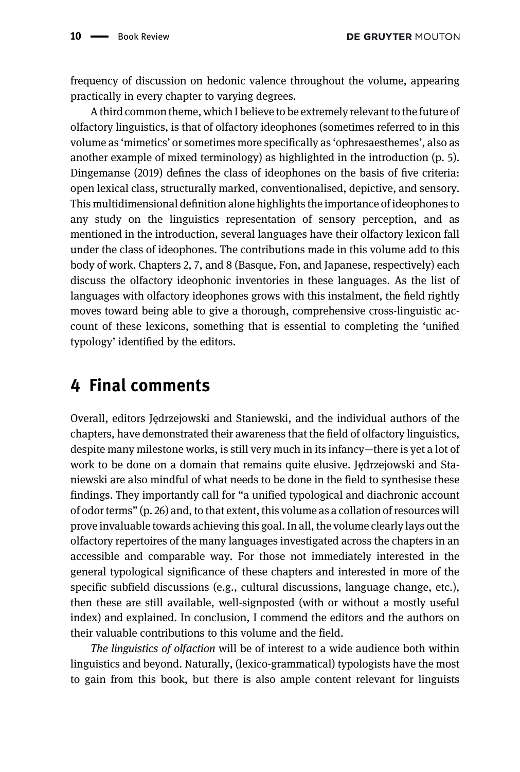DE GRUYTER MOUTON

frequency of discussion on hedonic valence throughout the volume, appearing practically in every chapter to varying degrees.

A third common theme, which I believe to be extremely relevant to the future of olfactory linguistics, is that of olfactory ideophones (sometimes referred to in this volume as 'mimetics' or sometimes more specifically as 'ophresaesthemes', also as another example of mixed terminology) as highlighted in the introduction (p. 5). [Dingemanse \(2019\)](#page-10-13) defines the class of ideophones on the basis of five criteria: open lexical class, structurally marked, conventionalised, depictive, and sensory. This multidimensional definition alone highlights the importance of ideophones to any study on the linguistics representation of sensory perception, and as mentioned in the introduction, several languages have their olfactory lexicon fall under the class of ideophones. The contributions made in this volume add to this body of work. Chapters 2, 7, and 8 (Basque, Fon, and Japanese, respectively) each discuss the olfactory ideophonic inventories in these languages. As the list of languages with olfactory ideophones grows with this instalment, the field rightly moves toward being able to give a thorough, comprehensive cross-linguistic account of these lexicons, something that is essential to completing the 'unified typology' identified by the editors.

# 4 Final comments

Overall, editors Jędrzejowski and Staniewski, and the individual authors of the chapters, have demonstrated their awareness that the field of olfactory linguistics, despite many milestone works, is still very much in its infancy—there is yet a lot of work to be done on a domain that remains quite elusive. Jędrzejowski and Staniewski are also mindful of what needs to be done in the field to synthesise these findings. They importantly call for "a unified typological and diachronic account of odor terms" (p. 26) and, to that extent, this volume as a collation of resources will prove invaluable towards achieving this goal. In all, the volume clearly lays out the olfactory repertoires of the many languages investigated across the chapters in an accessible and comparable way. For those not immediately interested in the general typological significance of these chapters and interested in more of the specific subfield discussions (e.g., cultural discussions, language change, etc.), then these are still available, well-signposted (with or without a mostly useful index) and explained. In conclusion, I commend the editors and the authors on their valuable contributions to this volume and the field.

The linguistics of olfaction will be of interest to a wide audience both within linguistics and beyond. Naturally, (lexico-grammatical) typologists have the most to gain from this book, but there is also ample content relevant for linguists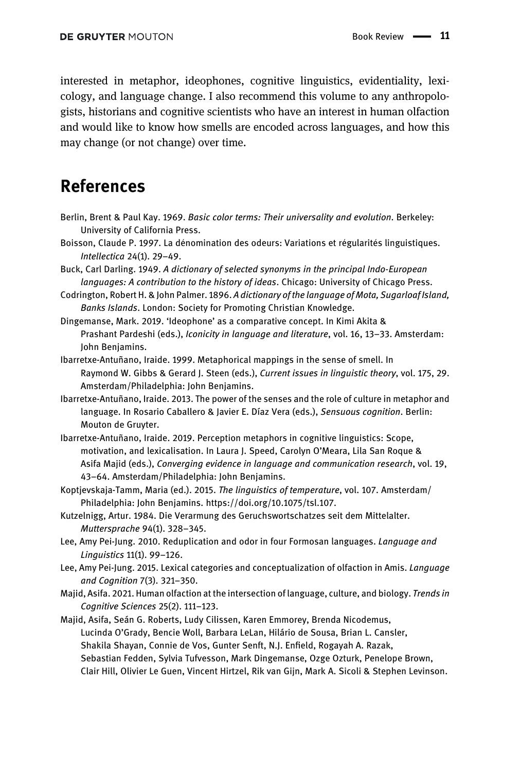interested in metaphor, ideophones, cognitive linguistics, evidentiality, lexicology, and language change. I also recommend this volume to any anthropologists, historians and cognitive scientists who have an interest in human olfaction and would like to know how smells are encoded across languages, and how this may change (or not change) over time.

# References

- <span id="page-10-11"></span>Berlin, Brent & Paul Kay. 1969. Basic color terms: Their universality and evolution. Berkeley: University of California Press.
- <span id="page-10-6"></span>Boisson, Claude P. 1997. La dénomination des odeurs: Variations et régularités linguistiques. Intellectica 24(1). 29–49.
- <span id="page-10-5"></span>Buck, Carl Darling. 1949. A dictionary of selected synonyms in the principal Indo-European languages: A contribution to the history of ideas. Chicago: University of Chicago Press.
- <span id="page-10-9"></span>Codrington, Robert H. & John Palmer. 1896. A dictionary of the language of Mota, Sugarloaf Island, Banks Islands. London: Society for Promoting Christian Knowledge.
- <span id="page-10-13"></span>Dingemanse, Mark. 2019. 'Ideophone' as a comparative concept. In Kimi Akita & Prashant Pardeshi (eds.), Iconicity in language and literature, vol. 16, 13–33. Amsterdam: John Benjamins.
- <span id="page-10-2"></span>Ibarretxe-Antuñano, Iraide. 1999. Metaphorical mappings in the sense of smell. In Raymond W. Gibbs & Gerard J. Steen (eds.), Current issues in linguistic theory, vol. 175, 29. Amsterdam/Philadelphia: John Benjamins.
- <span id="page-10-3"></span>Ibarretxe-Antuñano, Iraide. 2013. The power of the senses and the role of culture in metaphor and language. In Rosario Caballero & Javier E. Díaz Vera (eds.), Sensuous cognition. Berlin: Mouton de Gruyter.
- <span id="page-10-4"></span>Ibarretxe-Antuñano, Iraide. 2019. Perception metaphors in cognitive linguistics: Scope, motivation, and lexicalisation. In Laura J. Speed, Carolyn O'Meara, Lila San Roque & Asifa Majid (eds.), Converging evidence in language and communication research, vol. 19, 43–64. Amsterdam/Philadelphia: John Benjamins.
- <span id="page-10-0"></span>Koptjevskaja-Tamm, Maria (ed.). 2015. The linguistics of temperature, vol. 107. Amsterdam/ Philadelphia: John Benjamins.<https://doi.org/10.1075/tsl.107>.
- <span id="page-10-10"></span>Kutzelnigg, Artur. 1984. Die Verarmung des Geruchswortschatzes seit dem Mittelalter. Muttersprache 94(1). 328–345.
- <span id="page-10-7"></span>Lee, Amy Pei-Jung. 2010. Reduplication and odor in four Formosan languages. Language and Linguistics 11(1). 99–126.
- <span id="page-10-8"></span>Lee, Amy Pei-Jung. 2015. Lexical categories and conceptualization of olfaction in Amis. Language and Cognition 7(3). 321–350.
- <span id="page-10-1"></span>Majid, Asifa. 2021. Human olfaction at the intersection of language, culture, and biology. Trends in Cognitive Sciences 25(2). 111–123.
- <span id="page-10-12"></span>Majid, Asifa, Seán G. Roberts, Ludy Cilissen, Karen Emmorey, Brenda Nicodemus, Lucinda O'Grady, Bencie Woll, Barbara LeLan, Hilário de Sousa, Brian L. Cansler, Shakila Shayan, Connie de Vos, Gunter Senft, N.J. Enfield, Rogayah A. Razak, Sebastian Fedden, Sylvia Tufvesson, Mark Dingemanse, Ozge Ozturk, Penelope Brown, Clair Hill, Olivier Le Guen, Vincent Hirtzel, Rik van Gijn, Mark A. Sicoli & Stephen Levinson.